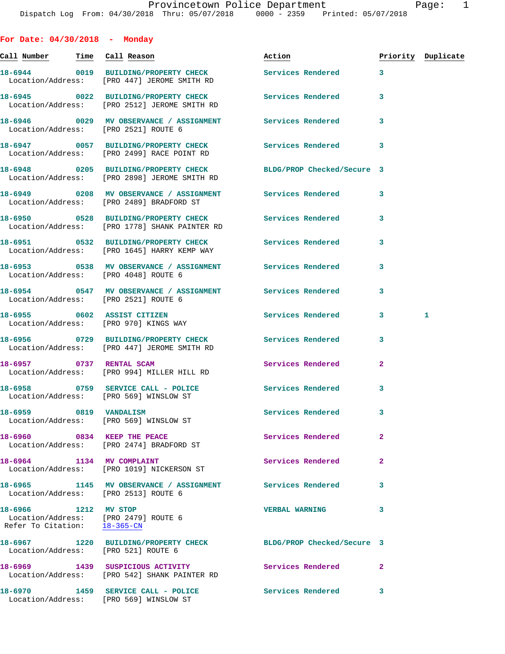**For Date: 04/30/2018 - Monday**

**Call Number Time Call Reason Action Priority Duplicate 18-6944 0019 BUILDING/PROPERTY CHECK Services Rendered 3**  Location/Address: [PRO 447] JEROME SMITH RD **18-6945 0022 BUILDING/PROPERTY CHECK Services Rendered 3**  Location/Address: [PRO 2512] JEROME SMITH RD **18-6946 0029 MV OBSERVANCE / ASSIGNMENT Services Rendered 3**  Location/Address: [PRO 2521] ROUTE 6 **18-6947 0057 BUILDING/PROPERTY CHECK Services Rendered 3**  Location/Address: [PRO 2499] RACE POINT RD **18-6948 0205 BUILDING/PROPERTY CHECK BLDG/PROP Checked/Secure 3**  Location/Address: [PRO 2898] JEROME SMITH RD **18-6949 0208 MV OBSERVANCE / ASSIGNMENT Services Rendered 3**  Location/Address: [PRO 2489] BRADFORD ST **18-6950 0528 BUILDING/PROPERTY CHECK Services Rendered 3**  Location/Address: [PRO 1778] SHANK PAINTER RD **18-6951 0532 BUILDING/PROPERTY CHECK Services Rendered 3**  Location/Address: [PRO 1645] HARRY KEMP WAY **18-6953 0538 MV OBSERVANCE / ASSIGNMENT Services Rendered 3**  Location/Address: [PRO 4048] ROUTE 6 **18-6954 0547 MV OBSERVANCE / ASSIGNMENT Services Rendered 3**  Location/Address: [PRO 2521] ROUTE 6 **18-6955 0602 ASSIST CITIZEN Services Rendered 3 1**  Location/Address: [PRO 970] KINGS WAY **18-6956 0729 BUILDING/PROPERTY CHECK Services Rendered 3**  Location/Address: [PRO 447] JEROME SMITH RD **18-6957 0737 RENTAL SCAM Services Rendered 2**  Location/Address: [PRO 994] MILLER HILL RD 18-6958 0759 SERVICE CALL - POLICE 3 Services Rendered 3 Location/Address: [PRO 569] WINSLOW ST **18-6959 0819 VANDALISM Services Rendered 3**  Location/Address: [PRO 569] WINSLOW ST **18-6960** 0834 KEEP THE PEACE Services Rendered 2 Location/Address: [PRO 2474] BRADFORD ST 18-6964 1134 MV COMPLAINT **18-6964** Services Rendered 2 Location/Address: [PRO 1019] NICKERSON ST **18-6965 1145 MV OBSERVANCE / ASSIGNMENT Services Rendered 3**  Location/Address: [PRO 2513] ROUTE 6 **18-6966 1212 MV STOP VERBAL WARNING 3**  Location/Address: [PRO 2479] ROUTE 6 Refer To Citation: 18-365-CN **18-6967 1220 BUILDING/PROPERTY CHECK BLDG/PROP Checked/Secure 3**  Location/Address: [PRO 521] ROUTE 6 18-6969 1439 SUSPICIOUS ACTIVITY **18-6969** Services Rendered 2 Location/Address: [PRO 542] SHANK PAINTER RD

**18-6970 1459 SERVICE CALL - POLICE Services Rendered 3**  Location/Address: [PRO 569] WINSLOW ST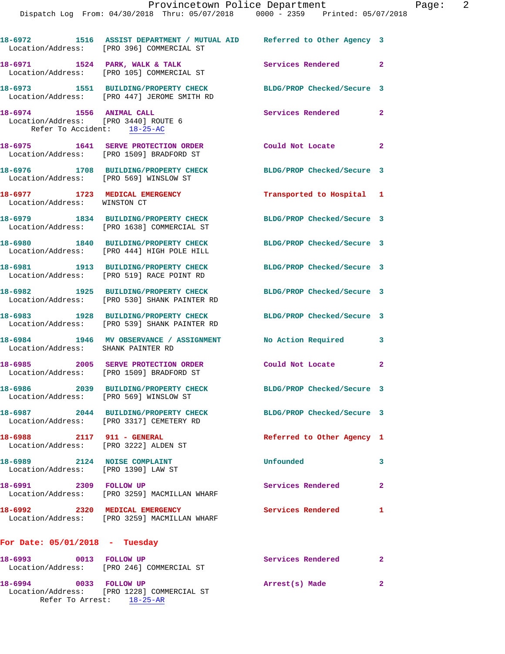|                                                                     | Dispatch Log From: 04/30/2018 Thru: 05/07/2018 0000 - 2359 Printed: 05/07/2018                                      | Provincetown Police Department | Page: $2$      |
|---------------------------------------------------------------------|---------------------------------------------------------------------------------------------------------------------|--------------------------------|----------------|
|                                                                     |                                                                                                                     |                                |                |
|                                                                     | 18-6972 1516 ASSIST DEPARTMENT / MUTUAL AID Referred to Other Agency 3<br>Location/Address: [PRO 396] COMMERCIAL ST |                                |                |
|                                                                     | 18-6971 1524 PARK, WALK & TALK<br>Location/Address: [PRO 105] COMMERCIAL ST                                         | Services Rendered              | $\overline{2}$ |
|                                                                     | 18-6973 1551 BUILDING/PROPERTY CHECK<br>Location/Address: [PRO 447] JEROME SMITH RD                                 | BLDG/PROP Checked/Secure 3     |                |
| Location/Address: [PRO 3440] ROUTE 6<br>Refer To Accident: 18-25-AC | 18-6974 1556 ANIMAL CALL                                                                                            | Services Rendered              | $\mathbf{2}$   |
|                                                                     | 18-6975 1641 SERVE PROTECTION ORDER Could Not Locate<br>Location/Address: [PRO 1509] BRADFORD ST                    |                                | $\mathbf{2}$   |
|                                                                     | 18-6976 1708 BUILDING/PROPERTY CHECK BLDG/PROP Checked/Secure 3<br>Location/Address: [PRO 569] WINSLOW ST           |                                |                |
| Location/Address: WINSTON CT                                        | 18-6977 1723 MEDICAL EMERGENCY                                                                                      | Transported to Hospital 1      |                |
|                                                                     |                                                                                                                     | BLDG/PROP Checked/Secure 3     |                |
|                                                                     | 18-6980 1840 BUILDING/PROPERTY CHECK<br>Location/Address: [PRO 444] HIGH POLE HILL                                  | BLDG/PROP Checked/Secure 3     |                |
|                                                                     | 18-6981 1913 BUILDING/PROPERTY CHECK<br>Location/Address: [PRO 519] RACE POINT RD                                   | BLDG/PROP Checked/Secure 3     |                |
|                                                                     | 18-6982 1925 BUILDING/PROPERTY CHECK<br>Location/Address: [PRO 530] SHANK PAINTER RD                                | BLDG/PROP Checked/Secure 3     |                |
|                                                                     | 18-6983 1928 BUILDING/PROPERTY CHECK BLDG/PROP Checked/Secure 3<br>Location/Address: [PRO 539] SHANK PAINTER RD     |                                |                |
| Location/Address: SHANK PAINTER RD                                  | 18-6984 1946 MV OBSERVANCE / ASSIGNMENT No Action Required                                                          |                                | 3              |
|                                                                     | 18-6985 2005 SERVE PROTECTION ORDER Could Not Locate 2<br>Location/Address: [PRO 1509] BRADFORD ST                  |                                |                |
| Location/Address: [PRO 569] WINSLOW ST                              | 18-6986 2039 BUILDING/PROPERTY CHECK BLDG/PROP Checked/Secure 3                                                     |                                |                |
|                                                                     | 18-6987 2044 BUILDING/PROPERTY CHECK<br>Location/Address: [PRO 3317] CEMETERY RD                                    | BLDG/PROP Checked/Secure 3     |                |
|                                                                     | 18-6988 2117 911 - GENERAL<br>Location/Address: [PRO 3222] ALDEN ST                                                 | Referred to Other Agency 1     |                |
| 18-6989 2124 NOISE COMPLAINT<br>Location/Address: [PRO 1390] LAW ST |                                                                                                                     | Unfounded                      | 3              |
| 18-6991 2309 FOLLOW UP                                              | Location/Address: [PRO 3259] MACMILLAN WHARF                                                                        | Services Rendered              | 2              |
|                                                                     | 18-6992 2320 MEDICAL EMERGENCY<br>Location/Address: [PRO 3259] MACMILLAN WHARF                                      | Services Rendered              | $\mathbf{1}$   |
| For Date: $05/01/2018$ - Tuesday                                    |                                                                                                                     |                                |                |
|                                                                     | 18-6993 0013 FOLLOW UP<br>Location/Address: [PRO 246] COMMERCIAL ST                                                 | Services Rendered              | $\mathbf{2}$   |
| 18-6994 0033 FOLLOW UP                                              |                                                                                                                     | Arrest(s) Made                 | $\mathbf{2}$   |

Location/Address: [PRO 1228] COMMERCIAL ST

Refer To Arrest: 18-25-AR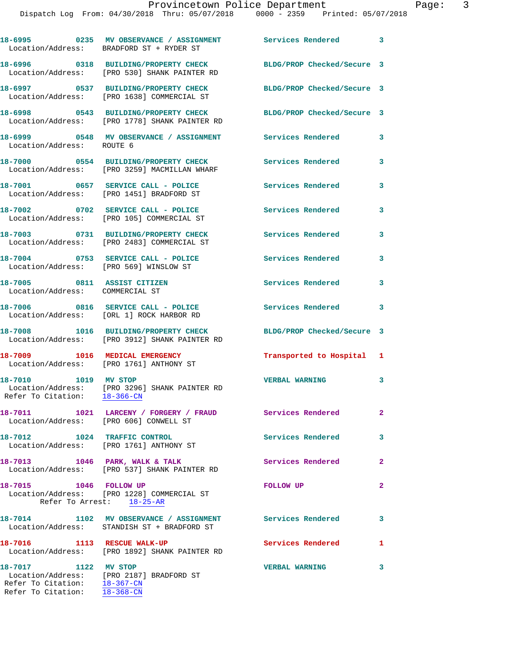|                                                                | 18-6995 6235 MV OBSERVANCE / ASSIGNMENT Services Rendered 3<br>Location/Address: BRADFORD ST + RYDER ST  |                            |              |
|----------------------------------------------------------------|----------------------------------------------------------------------------------------------------------|----------------------------|--------------|
|                                                                | 18-6996 0318 BUILDING/PROPERTY CHECK<br>Location/Address: [PRO 530] SHANK PAINTER RD                     | BLDG/PROP Checked/Secure 3 |              |
|                                                                | 18-6997 0537 BUILDING/PROPERTY CHECK<br>Location/Address: [PRO 1638] COMMERCIAL ST                       | BLDG/PROP Checked/Secure 3 |              |
|                                                                | 18-6998 0543 BUILDING/PROPERTY CHECK<br>Location/Address: [PRO 1778] SHANK PAINTER RD                    | BLDG/PROP Checked/Secure 3 |              |
| Location/Address: ROUTE 6                                      | 18-6999 0548 MV OBSERVANCE / ASSIGNMENT Services Rendered                                                |                            | 3            |
|                                                                | 18-7000 0554 BUILDING/PROPERTY CHECK<br>Location/Address: [PRO 3259] MACMILLAN WHARF                     | Services Rendered          | 3            |
|                                                                | 18-7001 0657 SERVICE CALL - POLICE<br>Location/Address: [PRO 1451] BRADFORD ST                           | Services Rendered          | 3            |
|                                                                | 18-7002 0702 SERVICE CALL - POLICE<br>Location/Address: [PRO 105] COMMERCIAL ST                          | Services Rendered          | 3            |
|                                                                | 18-7003 0731 BUILDING/PROPERTY CHECK<br>Location/Address: [PRO 2483] COMMERCIAL ST                       | Services Rendered          | 3            |
| Location/Address: [PRO 569] WINSLOW ST                         | 18-7004 0753 SERVICE CALL - POLICE                                                                       | Services Rendered          | 3            |
| 18-7005 0811 ASSIST CITIZEN<br>Location/Address: COMMERCIAL ST |                                                                                                          | Services Rendered          | 3            |
|                                                                | 18-7006 0816 SERVICE CALL - POLICE<br>Location/Address: [ORL 1] ROCK HARBOR RD                           | <b>Services Rendered</b>   | 3            |
|                                                                | 18-7008 1016 BUILDING/PROPERTY CHECK<br>Location/Address: [PRO 3912] SHANK PAINTER RD                    | BLDG/PROP Checked/Secure 3 |              |
|                                                                | 18-7009 1016 MEDICAL EMERGENCY<br>Location/Address: [PRO 1761] ANTHONY ST                                | Transported to Hospital 1  |              |
| 18-7010 1019 MV STOP                                           | Location/Address: [PRO 3296] SHANK PAINTER RD<br>Refer To Citation: 18-366-CN                            | <b>VERBAL WARNING</b>      | 3            |
| Location/Address: [PRO 606] CONWELL ST                         | 18-7011 1021 LARCENY / FORGERY / FRAUD Services Rendered                                                 |                            | $\mathbf{2}$ |
|                                                                | 18-7012 1024 TRAFFIC CONTROL<br>Location/Address: [PRO 1761] ANTHONY ST                                  | Services Rendered          | 3            |
|                                                                | 18-7013 1046 PARK, WALK & TALK<br>Location/Address: [PRO 537] SHANK PAINTER RD                           | Services Rendered          | $\mathbf{2}$ |
| 18-7015 1046 FOLLOW UP                                         | Location/Address: [PRO 1228] COMMERCIAL ST<br>Refer To Arrest: 18-25-AR                                  | FOLLOW UP                  | $\mathbf{2}$ |
|                                                                | 18-7014 1102 MV OBSERVANCE / ASSIGNMENT Services Rendered<br>Location/Address: STANDISH ST + BRADFORD ST |                            | 3            |
|                                                                | 18-7016 1113 RESCUE WALK-UP<br>Location/Address: [PRO 1892] SHANK PAINTER RD                             | <b>Services Rendered</b>   | 1            |
| 18-7017 1122 MV STOP                                           | Location/Address: [PRO 2187] BRADFORD ST<br>Refer To Citation: 18-367-CN                                 | <b>VERBAL WARNING</b>      | 3            |

Refer To Citation: 18-368-CN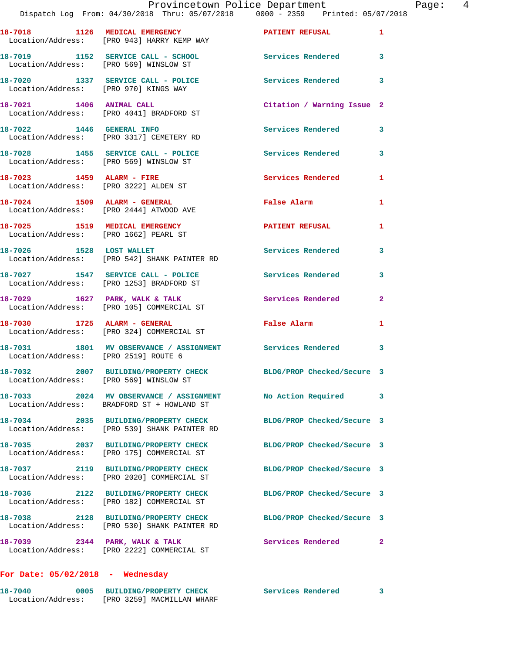|                                      | 18-7018 1126 MEDICAL EMERGENCY<br>Location/Address: [PRO 943] HARRY KEMP WAY                               | <b>PATIENT REFUSAL</b>     | $\mathbf{1}$            |
|--------------------------------------|------------------------------------------------------------------------------------------------------------|----------------------------|-------------------------|
|                                      | 18-7019 1152 SERVICE CALL - SCHOOL<br>Location/Address: [PRO 569] WINSLOW ST                               | Services Rendered          | $\overline{\mathbf{3}}$ |
|                                      | 18-7020 1337 SERVICE CALL - POLICE<br>Location/Address: [PRO 970] KINGS WAY                                | Services Rendered 3        |                         |
| 18-7021 1406 ANIMAL CALL             | Location/Address: [PRO 4041] BRADFORD ST                                                                   | Citation / Warning Issue 2 |                         |
| 18-7022 1446 GENERAL INFO            | Location/Address: [PRO 3317] CEMETERY RD                                                                   | Services Rendered          | 3                       |
|                                      | 18-7028 1455 SERVICE CALL - POLICE<br>Location/Address: [PRO 569] WINSLOW ST                               | <b>Services Rendered</b>   | 3                       |
|                                      | 18-7023 1459 ALARM - FIRE<br>Location/Address: [PRO 3222] ALDEN ST                                         | Services Rendered          | 1                       |
|                                      | 18-7024 1509 ALARM - GENERAL<br>Location/Address: [PRO 2444] ATWOOD AVE                                    | False Alarm                | 1                       |
|                                      | 18-7025 1519 MEDICAL EMERGENCY<br>Location/Address: [PRO 1662] PEARL ST                                    | <b>PATIENT REFUSAL</b>     | 1                       |
| 18-7026 1528 LOST WALLET             | Location/Address: [PRO 542] SHANK PAINTER RD                                                               | <b>Services Rendered</b>   | $\mathbf{3}$            |
|                                      | 18-7027 1547 SERVICE CALL - POLICE<br>Location/Address: [PRO 1253] BRADFORD ST                             | <b>Services Rendered</b>   | 3                       |
|                                      | 18-7029 1627 PARK, WALK & TALK<br>Location/Address: [PRO 105] COMMERCIAL ST                                | Services Rendered          | $\overline{2}$          |
|                                      | 18-7030 1725 ALARM - GENERAL<br>Location/Address: [PRO 324] COMMERCIAL ST                                  | <b>False Alarm</b>         | 1                       |
| Location/Address: [PRO 2519] ROUTE 6 | 18-7031 1801 MV OBSERVANCE / ASSIGNMENT Services Rendered 3                                                |                            |                         |
|                                      | 18-7032 2007 BUILDING/PROPERTY CHECK BLDG/PROP Checked/Secure 3<br>Location/Address: [PRO 569] WINSLOW ST  |                            |                         |
|                                      | 18-7033 2024 MV OBSERVANCE / ASSIGNMENT No Action Required 3<br>Location/Address: BRADFORD ST + HOWLAND ST |                            |                         |
|                                      | 18-7034 2035 BUILDING/PROPERTY CHECK<br>Location/Address: [PRO 539] SHANK PAINTER RD                       | BLDG/PROP Checked/Secure 3 |                         |
| 18-7035                              | 2037 BUILDING/PROPERTY CHECK<br>Location/Address: [PRO 175] COMMERCIAL ST                                  | BLDG/PROP Checked/Secure 3 |                         |
|                                      | 18-7037 2119 BUILDING/PROPERTY CHECK<br>Location/Address: [PRO 2020] COMMERCIAL ST                         | BLDG/PROP Checked/Secure 3 |                         |
| 18-7036                              | 2122 BUILDING/PROPERTY CHECK<br>Location/Address: [PRO 182] COMMERCIAL ST                                  | BLDG/PROP Checked/Secure 3 |                         |
|                                      | 18-7038 2128 BUILDING/PROPERTY CHECK<br>Location/Address: [PRO 530] SHANK PAINTER RD                       | BLDG/PROP Checked/Secure 3 |                         |
| 18-7039 2344 PARK, WALK & TALK       | Location/Address: [PRO 2222] COMMERCIAL ST                                                                 | Services Rendered          | $\mathbf{2}$            |
|                                      |                                                                                                            |                            |                         |

## **For Date: 05/02/2018 - Wednesday**

| 18-7040           | 0005 | BUILDING/PROPERTY CHECK    | Services Rendered |  |
|-------------------|------|----------------------------|-------------------|--|
| Location/Address: |      | [PRO 3259] MACMILLAN WHARF |                   |  |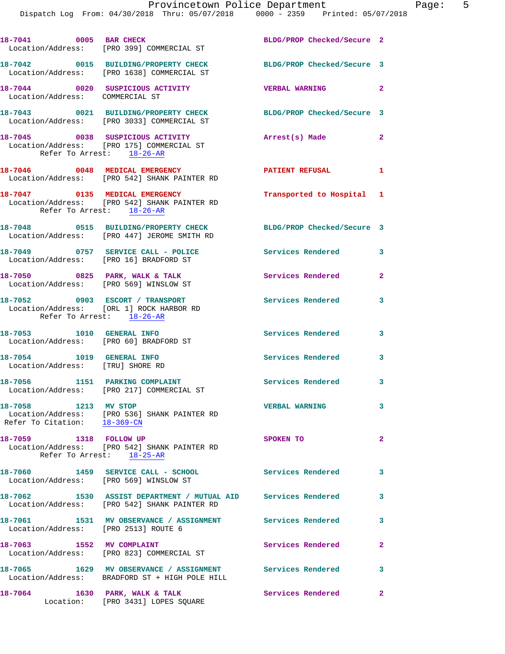| 18-7041 0005 BAR CHECK                                              | Location/Address: [PRO 399] COMMERCIAL ST                                                                       | BLDG/PROP Checked/Secure 2 |                |
|---------------------------------------------------------------------|-----------------------------------------------------------------------------------------------------------------|----------------------------|----------------|
|                                                                     | 18-7042 0015 BUILDING/PROPERTY CHECK<br>Location/Address: [PRO 1638] COMMERCIAL ST                              | BLDG/PROP Checked/Secure 3 |                |
| Location/Address: COMMERCIAL ST                                     | 18-7044 0020 SUSPICIOUS ACTIVITY                                                                                | VERBAL WARNING 2           |                |
|                                                                     | 18-7043 0021 BUILDING/PROPERTY CHECK<br>Location/Address: [PRO 3033] COMMERCIAL ST                              | BLDG/PROP Checked/Secure 3 |                |
| Refer To Arrest: 18-26-AR                                           | 18-7045 0038 SUSPICIOUS ACTIVITY<br>Location/Address: [PRO 175] COMMERCIAL ST                                   | Arrest(s) Made             | $\mathbf{2}$   |
|                                                                     | 18-7046 0048 MEDICAL EMERGENCY<br>Location/Address: [PRO 542] SHANK PAINTER RD                                  | <b>PATIENT REFUSAL</b>     | $\mathbf{1}$   |
| Refer To Arrest: 18-26-AR                                           | 18-7047 0135 MEDICAL EMERGENCY<br>Location/Address: [PRO 542] SHANK PAINTER RD                                  | Transported to Hospital 1  |                |
|                                                                     | 18-7048 0515 BUILDING/PROPERTY CHECK<br>Location/Address: [PRO 447] JEROME SMITH RD                             | BLDG/PROP Checked/Secure 3 |                |
| Location/Address: [PRO 16] BRADFORD ST                              | 18-7049 0757 SERVICE CALL - POLICE                                                                              | Services Rendered 3        |                |
| Location/Address: [PRO 569] WINSLOW ST                              | 18-7050 0825 PARK, WALK & TALK                                                                                  | <b>Services Rendered</b>   | $\mathbf{2}$   |
| 18-7052 0903 ESCORT / TRANSPORT<br>Refer To Arrest: 18-26-AR        | Location/Address: [ORL 1] ROCK HARBOR RD                                                                        | <b>Services Rendered</b>   | 3              |
| 18-7053 1010 GENERAL INFO<br>Location/Address: [PRO 60] BRADFORD ST |                                                                                                                 | Services Rendered          | 3              |
| 18-7054    1019    GENERAL INFO<br>Location/Address: [TRU] SHORE RD |                                                                                                                 | <b>Services Rendered</b>   | 3              |
|                                                                     | 18-7056 1151 PARKING COMPLAINT<br>Location/Address: [PRO 217] COMMERCIAL ST                                     | Services Rendered 3        |                |
| 18-7058 1213 MV STOP                                                | Location/Address: [PRO 536] SHANK PAINTER RD<br>Refer To Citation: $\frac{18-369-\text{CN}}{18-369-\text{CN}}}$ | <b>VERBAL WARNING</b>      | 3              |
| 18-7059 1318 FOLLOW UP                                              | Location/Address: [PRO 542] SHANK PAINTER RD<br>Refer To Arrest: 18-25-AR                                       | SPOKEN TO                  | $\mathbf{2}$   |
| Location/Address: [PRO 569] WINSLOW ST                              | 18-7060 1459 SERVICE CALL - SCHOOL                                                                              | Services Rendered          | 3              |
|                                                                     | 18-7062 1530 ASSIST DEPARTMENT / MUTUAL AID Services Rendered<br>Location/Address: [PRO 542] SHANK PAINTER RD   |                            | 3              |
| Location/Address: [PRO 2513] ROUTE 6                                | 18-7061 1531 MV OBSERVANCE / ASSIGNMENT Services Rendered                                                       |                            | 3              |
| 18-7063 1552 MV COMPLAINT                                           | Location/Address: [PRO 823] COMMERCIAL ST                                                                       | Services Rendered          | $\overline{2}$ |
|                                                                     | 18-7065 1629 MV OBSERVANCE / ASSIGNMENT Services Rendered<br>Location/Address: BRADFORD ST + HIGH POLE HILL     |                            | 3              |
| 18-7064                                                             | 1630 PARK, WALK & TALK<br>Location: [PRO 3431] LOPES SQUARE                                                     | Services Rendered          | $\mathbf{2}$   |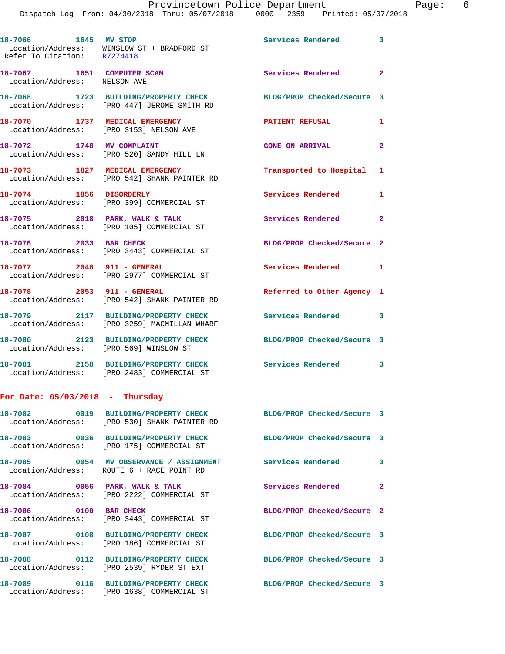| 18-7066 1645 MV STOP                                       | Location/Address: WINSLOW ST + BRADFORD ST<br>Refer To Citation: R7274418            | Services Rendered 3        |                |
|------------------------------------------------------------|--------------------------------------------------------------------------------------|----------------------------|----------------|
| 18-7067 1651 COMPUTER SCAM<br>Location/Address: NELSON AVE |                                                                                      | <b>Services Rendered</b> 2 |                |
|                                                            | 18-7068 1723 BUILDING/PROPERTY CHECK<br>Location/Address: [PRO 447] JEROME SMITH RD  | BLDG/PROP Checked/Secure 3 |                |
| 18-7070 1737 MEDICAL EMERGENCY                             | Location/Address: [PRO 3153] NELSON AVE                                              | <b>PATIENT REFUSAL</b>     | 1              |
|                                                            | 18-7072 1748 MV COMPLAINT<br>Location/Address: [PRO 520] SANDY HILL LN               | <b>GONE ON ARRIVAL</b>     | $\overline{2}$ |
|                                                            | 18-7073 1827 MEDICAL EMERGENCY<br>Location/Address: [PRO 542] SHANK PAINTER RD       | Transported to Hospital 1  |                |
| 18-7074 1856 DISORDERLY                                    | Location/Address: [PRO 399] COMMERCIAL ST                                            | Services Rendered 1        |                |
|                                                            | 18-7075 2018 PARK, WALK & TALK<br>Location/Address: [PRO 105] COMMERCIAL ST          | Services Rendered 2        |                |
| 18-7076 2033 BAR CHECK                                     | Location/Address: [PRO 3443] COMMERCIAL ST                                           | BLDG/PROP Checked/Secure 2 |                |
|                                                            | 18-7077 2048 911 - GENERAL<br>Location/Address: [PRO 2977] COMMERCIAL ST             | Services Rendered 1        |                |
| 18-7078 2053 911 - GENERAL                                 | Location/Address: [PRO 542] SHANK PAINTER RD                                         | Referred to Other Agency 1 |                |
|                                                            | 18-7079 2117 BUILDING/PROPERTY CHECK<br>Location/Address: [PRO 3259] MACMILLAN WHARF | Services Rendered 3        |                |
| Location/Address: [PRO 569] WINSLOW ST                     | 18-7080 2123 BUILDING/PROPERTY CHECK                                                 | BLDG/PROP Checked/Secure 3 |                |
|                                                            | 18-7081 2158 BUILDING/PROPERTY CHECK<br>Location/Address: [PRO 2483] COMMERCIAL ST   | Services Rendered 3        |                |
| For Date: $05/03/2018$ - Thursday                          |                                                                                      |                            |                |
| Location/Address:                                          | 18-7082 0019 BUILDING/PROPERTY CHECK<br>[PRO 530] SHANK PAINTER RD                   | BLDG/PROP Checked/Secure 3 |                |
| 18-7083                                                    | 0036 BUILDING/PROPERTY CHECK<br>Location/Address: [PRO 175] COMMERCIAL ST            | BLDG/PROP Checked/Secure 3 |                |
|                                                            |                                                                                      |                            |                |

Location/Address: [PRO 2539] RYDER ST EXT

Location/Address: ROUTE 6 + RACE POINT RD

Location/Address: [PRO 2222] COMMERCIAL ST

Location/Address: [PRO 3443] COMMERCIAL ST

**18-7087 0108 BUILDING/PROPERTY CHECK BLDG/PROP Checked/Secure 3**  Location/Address: [PRO 186] COMMERCIAL ST

**18-7089 0116 BUILDING/PROPERTY CHECK BLDG/PROP Checked/Secure 3**  Location/Address: [PRO 1638] COMMERCIAL ST

18-7085 **0054 MV OBSERVANCE / ASSIGNMENT** Services Rendered 3 **18-7084** 0056 PARK, WALK & TALK Services Rendered 2 **18-7086** 0100 BAR CHECK BLDG/PROP Checked/Secure 2 **18-7088 0112 BUILDING/PROPERTY CHECK BLDG/PROP Checked/Secure 3**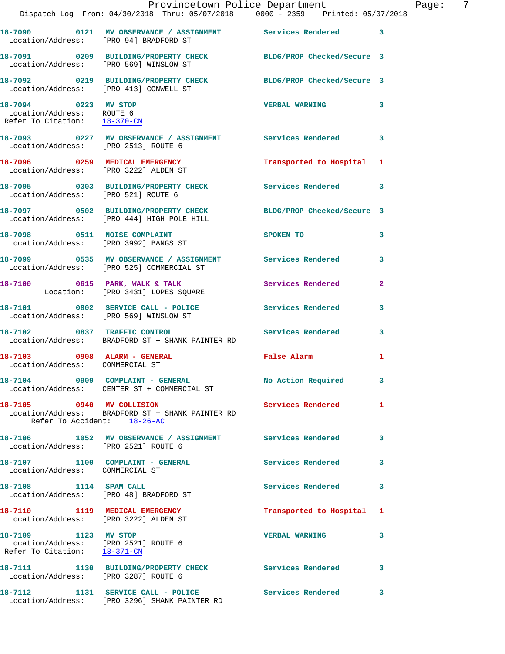|                                                                                              | Provincetown Police Department The Page: 7<br>Dispatch Log From: 04/30/2018 Thru: 05/07/2018   0000 - 2359   Printed: 05/07/2018 |                           |              |  |
|----------------------------------------------------------------------------------------------|----------------------------------------------------------------------------------------------------------------------------------|---------------------------|--------------|--|
| Location/Address: [PRO 94] BRADFORD ST                                                       | 18-7090 0121 MV OBSERVANCE / ASSIGNMENT Services Rendered 3                                                                      |                           |              |  |
|                                                                                              | 18-7091 0209 BUILDING/PROPERTY CHECK BLDG/PROP Checked/Secure 3<br>Location/Address: [PRO 569] WINSLOW ST                        |                           |              |  |
|                                                                                              | 18-7092 0219 BUILDING/PROPERTY CHECK BLDG/PROP Checked/Secure 3<br>Location/Address: [PRO 413] CONWELL ST                        |                           |              |  |
| 18-7094 0223 MV STOP<br>Location/Address: ROUTE 6<br>Refer To Citation: 18-370-CN            |                                                                                                                                  | <b>VERBAL WARNING 3</b>   |              |  |
| Location/Address: [PRO 2513] ROUTE 6                                                         | 18-7093 0227 MV OBSERVANCE / ASSIGNMENT Services Rendered 3                                                                      |                           |              |  |
|                                                                                              | 18-7096 0259 MEDICAL EMERGENCY Transported to Hospital 1<br>Location/Address: [PRO 3222] ALDEN ST                                |                           |              |  |
| Location/Address: [PRO 521] ROUTE 6                                                          | 18-7095 0303 BUILDING/PROPERTY CHECK Services Rendered 3                                                                         |                           |              |  |
|                                                                                              | 18-7097 0502 BUILDING/PROPERTY CHECK BLDG/PROP Checked/Secure 3<br>Location/Address: [PRO 444] HIGH POLE HILL                    |                           |              |  |
|                                                                                              | 18-7098 0511 NOISE COMPLAINT<br>Location/Address: [PRO 3992] BANGS ST                                                            | SPOKEN TO                 | 3            |  |
|                                                                                              |                                                                                                                                  |                           | 3            |  |
|                                                                                              | 18-7100 0615 PARK, WALK & TALK (Services Rendered Location: [PRO 3431] LOPES SQUARE                                              |                           | $\mathbf{2}$ |  |
|                                                                                              | 18-7101 0802 SERVICE CALL - POLICE Services Rendered<br>Location/Address: [PRO 569] WINSLOW ST                                   |                           | $\mathbf{3}$ |  |
|                                                                                              | 18-7102 0837 TRAFFIC CONTROL Services Rendered<br>Location/Address: BRADFORD ST + SHANK PAINTER RD                               |                           | 3            |  |
| 18-7103 0908 ALARM - GENERAL<br>Location/Address: COMMERCIAL ST                              |                                                                                                                                  | <b>False Alarm</b>        | 1            |  |
|                                                                                              | 18-7104 0909 COMPLAINT - GENERAL<br>Location/Address: CENTER ST + COMMERCIAL ST                                                  | No Action Required 3      |              |  |
| Refer To Accident: 18-26-AC                                                                  | 18-7105 0940 MV COLLISION<br>Location/Address: BRADFORD ST + SHANK PAINTER RD                                                    | Services Rendered         | 1            |  |
| Location/Address: [PRO 2521] ROUTE 6                                                         | 18-7106 1052 MV OBSERVANCE / ASSIGNMENT Services Rendered                                                                        |                           | 3            |  |
| Location/Address: COMMERCIAL ST                                                              | 18-7107 1100 COMPLAINT - GENERAL                                                                                                 | Services Rendered         | 3            |  |
|                                                                                              | 18-7108 1114 SPAM CALL<br>Location/Address: [PRO 48] BRADFORD ST                                                                 | Services Rendered         | 3            |  |
|                                                                                              | 18-7110 1119 MEDICAL EMERGENCY<br>Location/Address: [PRO 3222] ALDEN ST                                                          | Transported to Hospital 1 |              |  |
| 18-7109 1123 MV STOP<br>Location/Address: [PRO 2521] ROUTE 6<br>Refer To Citation: 18-371-CN |                                                                                                                                  | <b>VERBAL WARNING</b>     | 3            |  |
| Location/Address: [PRO 3287] ROUTE 6                                                         | 18-7111 1130 BUILDING/PROPERTY CHECK Services Rendered 3                                                                         |                           |              |  |
|                                                                                              | 18-7112 1131 SERVICE CALL - POLICE<br>Location/Address: [PRO 3296] SHANK PAINTER RD                                              | <b>Services Rendered</b>  | 3            |  |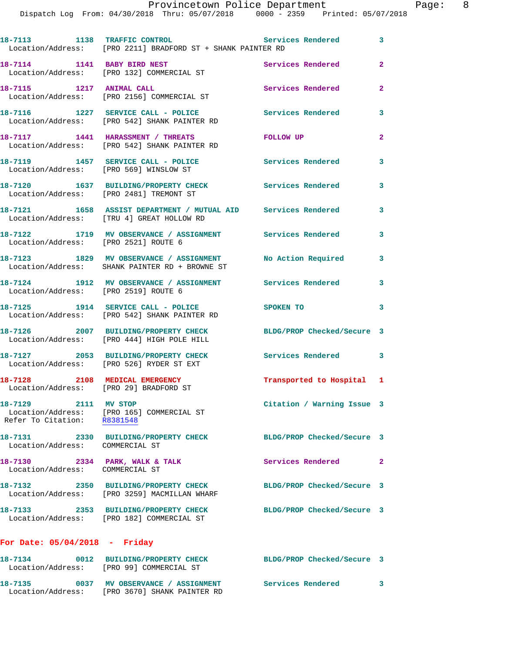| 18-7113 1138 TRAFFIC CONTROL                        | Location/Address: [PRO 2211] BRADFORD ST + SHANK PAINTER RD                                                  | Services Rendered 3                                                                                                                                                                                                            |                |
|-----------------------------------------------------|--------------------------------------------------------------------------------------------------------------|--------------------------------------------------------------------------------------------------------------------------------------------------------------------------------------------------------------------------------|----------------|
|                                                     | 18-7114 1141 BABY BIRD NEST<br>Location/Address: [PRO 132] COMMERCIAL ST                                     | Services Rendered                                                                                                                                                                                                              | $\overline{a}$ |
| 18-7115 1217 ANIMAL CALL                            | Location/Address: [PRO 2156] COMMERCIAL ST                                                                   | Services Rendered                                                                                                                                                                                                              | $\overline{a}$ |
|                                                     | 18-7116 1227 SERVICE CALL - POLICE<br>Location/Address: [PRO 542] SHANK PAINTER RD                           | Services Rendered                                                                                                                                                                                                              | 3              |
|                                                     | 18-7117 1441 HARASSMENT / THREATS<br>Location/Address: [PRO 542] SHANK PAINTER RD                            | FOLLOW UP                                                                                                                                                                                                                      | $\overline{2}$ |
|                                                     | 18-7119 1457 SERVICE CALL - POLICE<br>Location/Address: [PRO 569] WINSLOW ST                                 | <b>Services Rendered</b>                                                                                                                                                                                                       | 3              |
|                                                     | 18-7120 1637 BUILDING/PROPERTY CHECK<br>Location/Address: [PRO 2481] TREMONT ST                              | <b>Services Rendered</b>                                                                                                                                                                                                       | 3              |
|                                                     | 18-7121 1658 ASSIST DEPARTMENT / MUTUAL AID Services Rendered<br>Location/Address: [TRU 4] GREAT HOLLOW RD   |                                                                                                                                                                                                                                | 3              |
| Location/Address: [PRO 2521] ROUTE 6                | 18-7122 1719 MV OBSERVANCE / ASSIGNMENT Services Rendered                                                    |                                                                                                                                                                                                                                | 3              |
|                                                     | 18-7123 1829 MV OBSERVANCE / ASSIGNMENT No Action Required<br>Location/Address: SHANK PAINTER RD + BROWNE ST |                                                                                                                                                                                                                                | 3              |
| Location/Address: [PRO 2519] ROUTE 6                | 18-7124 1912 MV OBSERVANCE / ASSIGNMENT Services Rendered                                                    |                                                                                                                                                                                                                                | 3              |
|                                                     | 18-7125 1914 SERVICE CALL - POLICE<br>Location/Address: [PRO 542] SHANK PAINTER RD                           | SPOKEN TO THE SPOKEN OF THE SPOKEN OF THE SPOKEN OF THE SPOKEN OF THE SPOKEN OF THE SPOKEN OF THE SPOKEN OF THE SPOKEN OF THE SPOKEN OF THE SPOKEN OF THE SPOKEN OF THE SPOKEN OF THE SPOKEN OF THE SPOKEN OF THE SPOKEN OF TH | $\mathbf{3}$   |
|                                                     | 18-7126 2007 BUILDING/PROPERTY CHECK<br>Location/Address: [PRO 444] HIGH POLE HILL                           | BLDG/PROP Checked/Secure 3                                                                                                                                                                                                     |                |
|                                                     | 18-7127 2053 BUILDING/PROPERTY CHECK<br>Location/Address: [PRO 526] RYDER ST EXT                             | Services Rendered 3                                                                                                                                                                                                            |                |
| Location/Address: [PRO 29] BRADFORD ST              | 18-7128 2108 MEDICAL EMERGENCY                                                                               | Transported to Hospital 1                                                                                                                                                                                                      |                |
| 18-7129 2111 MV STOP<br>Refer To Citation: R8381548 | Location/Address: [PRO 165] COMMERCIAL ST                                                                    | Citation / Warning Issue 3                                                                                                                                                                                                     |                |
| Location/Address: COMMERCIAL ST                     | 18-7131 2330 BUILDING/PROPERTY CHECK                                                                         | BLDG/PROP Checked/Secure 3                                                                                                                                                                                                     |                |
| 18-7130<br>Location/Address: COMMERCIAL ST          | 2334 PARK, WALK & TALK                                                                                       | Services Rendered 2                                                                                                                                                                                                            |                |
|                                                     | 18-7132 2350 BUILDING/PROPERTY CHECK<br>Location/Address: [PRO 3259] MACMILLAN WHARF                         | BLDG/PROP Checked/Secure 3                                                                                                                                                                                                     |                |
| 18-7133                                             | 2353 BUILDING/PROPERTY CHECK<br>Location/Address: [PRO 182] COMMERCIAL ST                                    | BLDG/PROP Checked/Secure 3                                                                                                                                                                                                     |                |
| For Date: $05/04/2018$ - Friday                     |                                                                                                              |                                                                                                                                                                                                                                |                |
| 18-7134                                             | 0012 BUILDING/PROPERTY CHECK<br>Location/Address: [PRO 99] COMMERCIAL ST                                     | BLDG/PROP Checked/Secure 3                                                                                                                                                                                                     |                |

**18-7135 0037 MV OBSERVANCE / ASSIGNMENT Services Rendered 3** 

Location/Address: [PRO 3670] SHANK PAINTER RD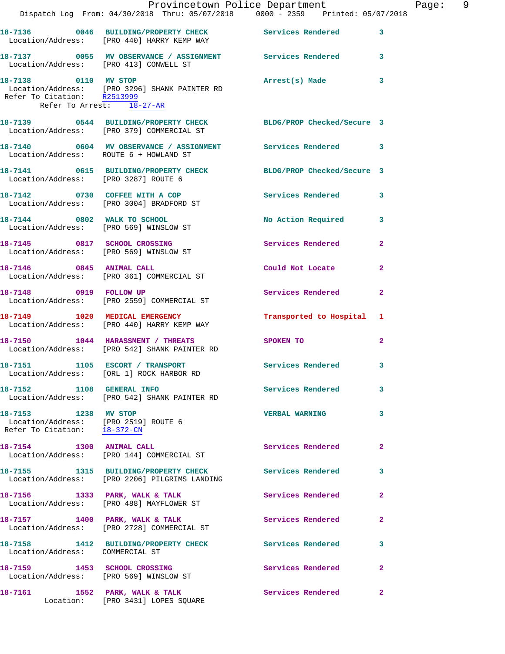|                                                                                              | Dispatch Log From: 04/30/2018 Thru: 05/07/2018 0000 - 2359 Printed: 05/07/2018                               | Provincetown Police Department |                         | Page: 9 |  |
|----------------------------------------------------------------------------------------------|--------------------------------------------------------------------------------------------------------------|--------------------------------|-------------------------|---------|--|
|                                                                                              | 18-7136 		 0046 BUILDING/PROPERTY CHECK Services Rendered 3<br>Location/Address: [PRO 440] HARRY KEMP WAY    |                                |                         |         |  |
| Location/Address: [PRO 413] CONWELL ST                                                       | 18-7137 0055 MV OBSERVANCE / ASSIGNMENT Services Rendered 3                                                  |                                |                         |         |  |
| 18-7138 0110 MV STOP<br>Refer To Arrest: 18-27-AR                                            | Location/Address: [PRO 3296] SHANK PAINTER RD<br>Refer To Citation: R2513999                                 | Arrest(s) Made                 | $\mathbf{3}$            |         |  |
|                                                                                              | 18-7139 0544 BUILDING/PROPERTY CHECK BLDG/PROP Checked/Secure 3<br>Location/Address: [PRO 379] COMMERCIAL ST |                                |                         |         |  |
| Location/Address: ROUTE 6 + HOWLAND ST                                                       | 18-7140 0604 MV OBSERVANCE / ASSIGNMENT Services Rendered 3                                                  |                                |                         |         |  |
| Location/Address: [PRO 3287] ROUTE 6                                                         | 18-7141 0615 BUILDING/PROPERTY CHECK BLDG/PROP Checked/Secure 3                                              |                                |                         |         |  |
|                                                                                              | 18-7142 0730 COFFEE WITH A COP<br>Location/Address: [PRO 3004] BRADFORD ST                                   | Services Rendered 3            |                         |         |  |
|                                                                                              | 18-7144 0802 WALK TO SCHOOL<br>Location/Address: [PRO 569] WINSLOW ST                                        | No Action Required 3           |                         |         |  |
|                                                                                              | 18-7145 0817 SCHOOL CROSSING<br>Location/Address: [PRO 569] WINSLOW ST                                       | Services Rendered              | $\mathbf{2}$            |         |  |
|                                                                                              | 18-7146 0845 ANIMAL CALL<br>Location/Address: [PRO 361] COMMERCIAL ST                                        | Could Not Locate               | $\mathbf{2}$            |         |  |
|                                                                                              | 18-7148 0919 FOLLOW UP<br>Location/Address: [PRO 2559] COMMERCIAL ST                                         | Services Rendered              | $\mathbf{2}$            |         |  |
|                                                                                              | 18-7149 1020 MEDICAL EMERGENCY<br>Location/Address: [PRO 440] HARRY KEMP WAY                                 | Transported to Hospital 1      |                         |         |  |
|                                                                                              | 18-7150 1044 HARASSMENT / THREATS<br>Location/Address: [PRO 542] SHANK PAINTER RD                            | SPOKEN TO                      | $\mathbf{2}$            |         |  |
|                                                                                              | 18-7151 1105 ESCORT / TRANSPORT<br>Location/Address: [ORL 1] ROCK HARBOR RD                                  | Services Rendered 3            |                         |         |  |
|                                                                                              | 18-7152 1108 GENERAL INFO<br>Location/Address: [PRO 542] SHANK PAINTER RD                                    | Services Rendered 3            |                         |         |  |
| 18-7153 1238 MV STOP<br>Location/Address: [PRO 2519] ROUTE 6<br>Refer To Citation: 18-372-CN |                                                                                                              | <b>VERBAL WARNING</b>          | 3                       |         |  |
|                                                                                              | 18-7154 1300 ANIMAL CALL<br>Location/Address: [PRO 144] COMMERCIAL ST                                        | Services Rendered              | -2                      |         |  |
|                                                                                              | 18-7155 1315 BUILDING/PROPERTY CHECK Services Rendered<br>Location/Address: [PRO 2206] PILGRIMS LANDING      |                                | $\overline{\mathbf{3}}$ |         |  |
|                                                                                              | 18-7156 1333 PARK, WALK & TALK<br>Location/Address: [PRO 488] MAYFLOWER ST                                   | Services Rendered              | 2                       |         |  |
|                                                                                              | 18-7157 1400 PARK, WALK & TALK<br>Location/Address: [PRO 2728] COMMERCIAL ST                                 | Services Rendered              | $\mathbf{2}$            |         |  |
| Location/Address: COMMERCIAL ST                                                              | 18-7158 1412 BUILDING/PROPERTY CHECK Services Rendered                                                       |                                | 3                       |         |  |
|                                                                                              | 18-7159 1453 SCHOOL CROSSING<br>Location/Address: [PRO 569] WINSLOW ST                                       | Services Rendered 2            |                         |         |  |
|                                                                                              | 18-7161 1552 PARK, WALK & TALK<br>Location: [PRO 3431] LOPES SQUARE                                          | Services Rendered              | -2                      |         |  |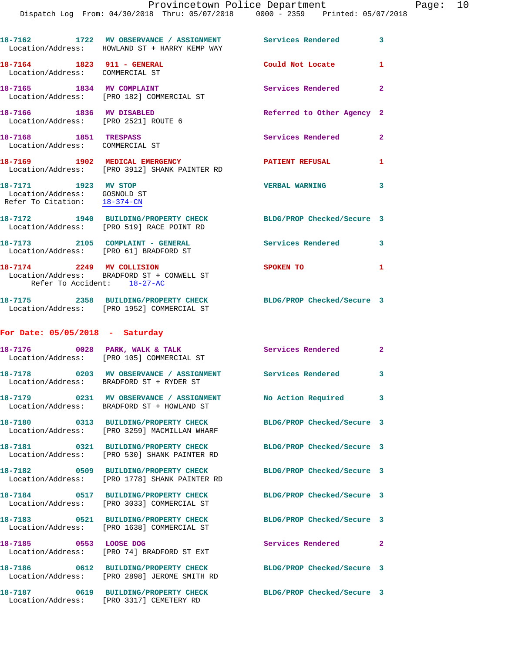|                                                                                      | 18-7162 1722 MV OBSERVANCE / ASSIGNMENT Services Rendered 3<br>Location/Address: HOWLAND ST + HARRY KEMP WAY |                            |                         |
|--------------------------------------------------------------------------------------|--------------------------------------------------------------------------------------------------------------|----------------------------|-------------------------|
| 18-7164 1823 911 - GENERAL<br>Location/Address: COMMERCIAL ST                        |                                                                                                              | Could Not Locate 1         |                         |
|                                                                                      | 18-7165 1834 MV COMPLAINT<br>Location/Address: [PRO 182] COMMERCIAL ST                                       | Services Rendered 2        |                         |
| 18-7166 1836 MV DISABLED                                                             | Location/Address: [PRO 2521] ROUTE 6                                                                         | Referred to Other Agency 2 |                         |
| 18-7168 1851 TRESPASS<br>Location/Address: COMMERCIAL ST                             |                                                                                                              | Services Rendered          | $\mathbf{2}$            |
|                                                                                      | 18-7169 1902 MEDICAL EMERGENCY<br>Location/Address: [PRO 3912] SHANK PAINTER RD                              | PATIENT REFUSAL 1          |                         |
| 18-7171 1923 MV STOP<br>Location/Address: GOSNOLD ST<br>Refer To Citation: 18-374-CN |                                                                                                              | <b>VERBAL WARNING</b>      | $\overline{\mathbf{3}}$ |
|                                                                                      | 18-7172 1940 BUILDING/PROPERTY CHECK<br>Location/Address: [PRO 519] RACE POINT RD                            | BLDG/PROP Checked/Secure 3 |                         |
|                                                                                      | 18-7173 2105 COMPLAINT - GENERAL<br>Location/Address: [PRO 61] BRADFORD ST                                   | Services Rendered 3        |                         |
| Refer To Accident: 18-27-AC                                                          | 18-7174 2249 MV COLLISION<br>Location/Address: BRADFORD ST + CONWELL ST                                      | SPOKEN TO                  | $\mathbf{1}$            |
|                                                                                      | 18-7175 2358 BUILDING/PROPERTY CHECK<br>Location/Address: [PRO 1952] COMMERCIAL ST                           | BLDG/PROP Checked/Secure 3 |                         |
| For Date: $05/05/2018$ - Saturday                                                    |                                                                                                              |                            |                         |
|                                                                                      | 18-7176 0028 PARK, WALK & TALK<br>Location/Address: [PRO 105] COMMERCIAL ST                                  | Services Rendered 2        |                         |
|                                                                                      | 18-7178 0203 MV OBSERVANCE / ASSIGNMENT Services Rendered 3<br>Location/Address: BRADFORD ST + RYDER ST      |                            |                         |
|                                                                                      | Location/Address: BRADFORD ST + HOWLAND ST                                                                   |                            | 3                       |
|                                                                                      | 18-7180 0313 BUILDING/PROPERTY CHECK<br>Location/Address: [PRO 3259] MACMILLAN WHARF                         | BLDG/PROP Checked/Secure 3 |                         |
|                                                                                      | 18-7181 0321 BUILDING/PROPERTY CHECK<br>Location/Address: [PRO 530] SHANK PAINTER RD                         | BLDG/PROP Checked/Secure 3 |                         |
|                                                                                      | 18-7182 0509 BUILDING/PROPERTY CHECK<br>Location/Address: [PRO 1778] SHANK PAINTER RD                        | BLDG/PROP Checked/Secure 3 |                         |
|                                                                                      | 18-7184 0517 BUILDING/PROPERTY CHECK<br>Location/Address: [PRO 3033] COMMERCIAL ST                           | BLDG/PROP Checked/Secure 3 |                         |
|                                                                                      | 18-7183 0521 BUILDING/PROPERTY CHECK<br>Location/Address: [PRO 1638] COMMERCIAL ST                           | BLDG/PROP Checked/Secure 3 |                         |
| 18-7185 0553 LOOSE DOG                                                               | Location/Address: [PRO 74] BRADFORD ST EXT                                                                   | Services Rendered          | $\mathbf{2}$            |
|                                                                                      | 18-7186 0612 BUILDING/PROPERTY CHECK<br>Location/Address: [PRO 2898] JEROME SMITH RD                         | BLDG/PROP Checked/Secure 3 |                         |
|                                                                                      | 18-7187 0619 BUILDING/PROPERTY CHECK                                                                         | BLDG/PROP Checked/Secure 3 |                         |

Location/Address: [PRO 3317] CEMETERY RD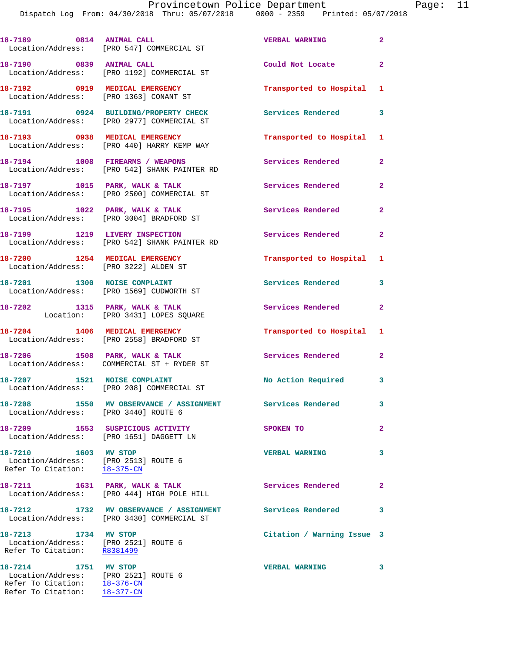Dispatch Log From: 04/30/2018 Thru: 05/07/2018 0000 - 2359 Printed: 05/07/2018

|                                                                                              | 18-7189 0814 ANIMAL CALL<br>Location/Address: [PRO 547] COMMERCIAL ST                 | <b>VERBAL WARNING</b>      | $\overline{a}$ |
|----------------------------------------------------------------------------------------------|---------------------------------------------------------------------------------------|----------------------------|----------------|
| 18-7190 0839 ANIMAL CALL                                                                     | Location/Address: [PRO 1192] COMMERCIAL ST                                            | Could Not Locate           | $\overline{a}$ |
|                                                                                              | 18-7192 0919 MEDICAL EMERGENCY<br>Location/Address: [PRO 1363] CONANT ST              | Transported to Hospital    | 1              |
|                                                                                              | 18-7191 0924 BUILDING/PROPERTY CHECK<br>Location/Address: [PRO 2977] COMMERCIAL ST    | Services Rendered          | 3              |
|                                                                                              | 18-7193 0938 MEDICAL EMERGENCY<br>Location/Address: [PRO 440] HARRY KEMP WAY          | Transported to Hospital    | 1              |
|                                                                                              | 18-7194 1008 FIREARMS / WEAPONS<br>Location/Address: [PRO 542] SHANK PAINTER RD       | Services Rendered          | 2              |
|                                                                                              | 18-7197 1015 PARK, WALK & TALK<br>Location/Address: [PRO 2500] COMMERCIAL ST          | Services Rendered          | 2              |
|                                                                                              | 18-7195 1022 PARK, WALK & TALK<br>Location/Address: [PRO 3004] BRADFORD ST            | Services Rendered          | $\overline{a}$ |
|                                                                                              | 18-7199 1219 LIVERY INSPECTION<br>Location/Address: [PRO 542] SHANK PAINTER RD        | Services Rendered          | $\overline{a}$ |
| 18-7200 1254 MEDICAL EMERGENCY<br>Location/Address: [PRO 3222] ALDEN ST                      |                                                                                       | Transported to Hospital    | 1              |
|                                                                                              | 18-7201 1300 NOISE COMPLAINT<br>Location/Address: [PRO 1569] CUDWORTH ST              | <b>Services Rendered</b>   | 3              |
|                                                                                              | 18-7202 1315 PARK, WALK & TALK<br>Location: [PRO 3431] LOPES SQUARE                   | Services Rendered          | 2              |
|                                                                                              | 18-7204 1406 MEDICAL EMERGENCY<br>Location/Address: [PRO 2558] BRADFORD ST            | Transported to Hospital    | 1              |
|                                                                                              | 18-7206 1508 PARK, WALK & TALK<br>Location/Address: COMMERCIAL ST + RYDER ST          | Services Rendered          | 2              |
| 18-7207 1521 NOISE COMPLAINT                                                                 | Location/Address: [PRO 208] COMMERCIAL ST                                             | No Action Required         | 3              |
|                                                                                              | 18-7208 1550 MV OBSERVANCE / ASSIGNMENT<br>Location/Address: [PRO 3440] ROUTE 6       | Services Rendered          | 3              |
|                                                                                              | 18-7209 1553 SUSPICIOUS ACTIVITY<br>Location/Address: [PRO 1651] DAGGETT LN           | SPOKEN TO                  | 2              |
| 18-7210 1603 MV STOP<br>Location/Address: [PRO 2513] ROUTE 6<br>Refer To Citation: 18-375-CN |                                                                                       | <b>VERBAL WARNING</b>      | 3              |
|                                                                                              | 18-7211 1631 PARK, WALK & TALK<br>Location/Address: [PRO 444] HIGH POLE HILL          | Services Rendered          | 2              |
|                                                                                              | 18-7212 1732 MV OBSERVANCE / ASSIGNMENT<br>Location/Address: [PRO 3430] COMMERCIAL ST | Services Rendered          | 3              |
| 18-7213 1734 MV STOP<br>Location/Address: [PRO 2521] ROUTE 6<br>Refer To Citation: R8381499  |                                                                                       | Citation / Warning Issue 3 |                |
| 18-7214 1751 MV STOP<br>Location/Address: [PRO 2521] ROUTE 6<br>Refer To Citation: 18-376-CN |                                                                                       | <b>VERBAL WARNING</b>      | 3              |

Refer To Citation: 18-377-CN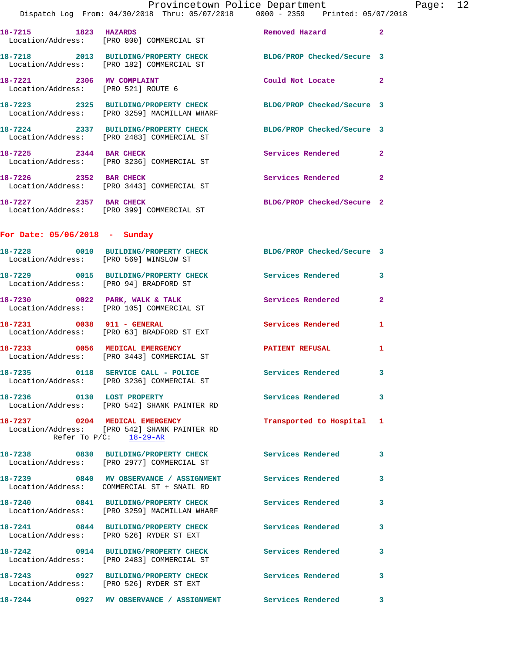**18-7218 2013 BUILDING/PROPERTY CHECK BLDG/PROP Checked/Secure 3**  Location/Address: [PRO 182] COMMERCIAL ST **18-7221 2306 MV COMPLAINT Could Not Locate 2**  Location/Address: [PRO 521] ROUTE 6 **18-7223 2325 BUILDING/PROPERTY CHECK BLDG/PROP Checked/Secure 3**  Location/Address: [PRO 3259] MACMILLAN WHARF **18-7224 2337 BUILDING/PROPERTY CHECK BLDG/PROP Checked/Secure 3**  Location/Address: [PRO 2483] COMMERCIAL ST **18-7225 2344 BAR CHECK Services Rendered 2**  Location/Address: [PRO 3236] COMMERCIAL ST

**18-7226** 2352 BAR CHECK 2 2 2 Services Rendered 2 Location/Address: [PRO 3443] COMMERCIAL ST **18-7227 2357 BAR CHECK BLDG/PROP Checked/Secure 2**  Location/Address: [PRO 399] COMMERCIAL ST

**For Date: 05/06/2018 - Sunday**

| Location/Address: [PRO 569] WINSLOW ST | 18-7228 0010 BUILDING/PROPERTY CHECK                                                                        | BLDG/PROP Checked/Secure 3 |              |
|----------------------------------------|-------------------------------------------------------------------------------------------------------------|----------------------------|--------------|
| Location/Address: [PRO 94] BRADFORD ST | 18-7229 0015 BUILDING/PROPERTY CHECK                                                                        | <b>Services Rendered</b>   | 3            |
|                                        | $18-7230$ 0022 PARK, WALK & TALK<br>Location/Address: [PRO 105] COMMERCIAL ST                               | <b>Services Rendered</b>   | $\mathbf{2}$ |
| 18-7231 0038 911 - GENERAL             | Location/Address: [PRO 63] BRADFORD ST EXT                                                                  | Services Rendered          | $\mathbf{1}$ |
|                                        | 18-7233 0056 MEDICAL EMERGENCY<br>Location/Address: [PRO 3443] COMMERCIAL ST                                | <b>PATIENT REFUSAL</b>     | $\mathbf{1}$ |
|                                        | 18-7235 0118 SERVICE CALL - POLICE<br>Location/Address: [PRO 3236] COMMERCIAL ST                            | <b>Services Rendered</b>   | 3            |
| 18-7236 0130 LOST PROPERTY             | Location/Address: [PRO 542] SHANK PAINTER RD                                                                | Services Rendered 3        |              |
|                                        | 18-7237 0204 MEDICAL EMERGENCY<br>Location/Address: [PRO 542] SHANK PAINTER RD<br>Refer To $P/C$ : 18-29-AR | Transported to Hospital 1  |              |
|                                        | 18-7238 0830 BUILDING/PROPERTY CHECK<br>Location/Address: [PRO 2977] COMMERCIAL ST                          | Services Rendered          | 3            |
|                                        | 18-7239 0840 MV OBSERVANCE / ASSIGNMENT Services Rendered<br>Location/Address: COMMERCIAL ST + SNAIL RD     |                            | 3            |
|                                        | 18-7240 0841 BUILDING/PROPERTY CHECK<br>Location/Address: [PRO 3259] MACMILLAN WHARF                        | <b>Services Rendered</b>   | 3            |
|                                        | 18-7241 0844 BUILDING/PROPERTY CHECK<br>Location/Address: [PRO 526] RYDER ST EXT                            | <b>Services Rendered</b>   | 3            |
|                                        | 18-7242 0914 BUILDING/PROPERTY CHECK<br>Location/Address: [PRO 2483] COMMERCIAL ST                          | <b>Services Rendered</b>   | 3            |
|                                        | 18-7243 0927 BUILDING/PROPERTY CHECK<br>Location/Address: [PRO 526] RYDER ST EXT                            | <b>Services Rendered</b>   | 3            |
|                                        | 18-7244 0927 MV OBSERVANCE / ASSIGNMENT Services Rendered                                                   |                            | 3            |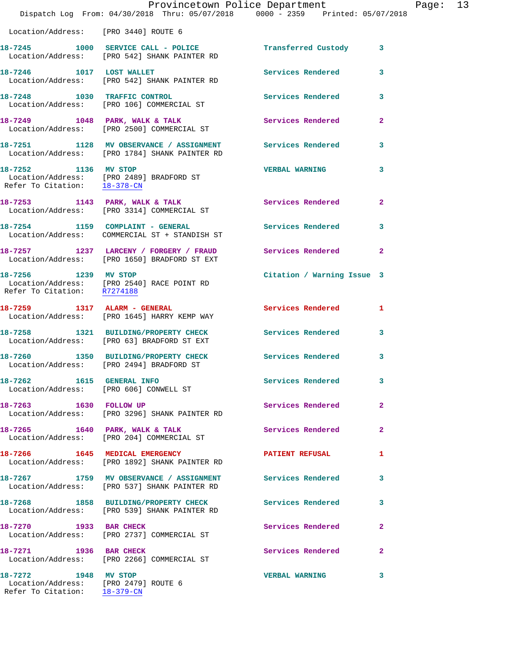|                                                                     | Provincetown Police Department                                                                             |                            |              |
|---------------------------------------------------------------------|------------------------------------------------------------------------------------------------------------|----------------------------|--------------|
|                                                                     | Dispatch Log From: 04/30/2018 Thru: 05/07/2018 0000 - 2359 Printed: 05/07/2018                             |                            |              |
| Location/Address: [PRO 3440] ROUTE 6                                |                                                                                                            |                            |              |
|                                                                     | 18-7245 1000 SERVICE CALL - POLICE Transferred Custody<br>Location/Address: [PRO 542] SHANK PAINTER RD     |                            | 3            |
| 18-7246 1017 LOST WALLET                                            | Location/Address: [PRO 542] SHANK PAINTER RD                                                               | <b>Services Rendered</b>   | 3            |
| 18-7248 1030 TRAFFIC CONTROL                                        | Location/Address: [PRO 106] COMMERCIAL ST                                                                  | <b>Services Rendered</b>   | 3            |
|                                                                     | $18-7249$ 1048 PARK, WALK & TALK<br>Location/Address: [PRO 2500] COMMERCIAL ST                             | Services Rendered          | $\mathbf{2}$ |
|                                                                     | 18-7251 1128 MV OBSERVANCE / ASSIGNMENT Services Rendered<br>Location/Address: [PRO 1784] SHANK PAINTER RD |                            | 3            |
| 18-7252 1136 MV STOP<br>Refer To Citation: 18-378-CN                | Location/Address: [PRO 2489] BRADFORD ST                                                                   | <b>VERBAL WARNING</b>      | 3            |
|                                                                     | $18-7253$ 1143 PARK, WALK & TALK<br>Location/Address: [PRO 3314] COMMERCIAL ST                             | <b>Services Rendered</b>   | $\mathbf{2}$ |
|                                                                     | 18-7254 1159 COMPLAINT - GENERAL<br>Location/Address: COMMERCIAL ST + STANDISH ST                          | <b>Services Rendered</b>   | 3            |
|                                                                     | 18-7257 1237 LARCENY / FORGERY / FRAUD Services Rendered<br>Location/Address: [PRO 1650] BRADFORD ST EXT   |                            | $\mathbf{2}$ |
| 18-7256 1239 MV STOP                                                | Location/Address: [PRO 2540] RACE POINT RD<br>Refer To Citation: R7274188                                  | Citation / Warning Issue 3 |              |
|                                                                     | 18-7259 1317 ALARM - GENERAL<br>Location/Address: [PRO 1645] HARRY KEMP WAY                                | Services Rendered          | 1            |
|                                                                     | 18-7258 1321 BUILDING/PROPERTY CHECK<br>Location/Address: [PRO 63] BRADFORD ST EXT                         | <b>Services Rendered</b>   | 3            |
|                                                                     | 18-7260 1350 BUILDING/PROPERTY CHECK<br>Location/Address: [PRO 2494] BRADFORD ST                           | Services Rendered          | 3            |
| 18-7262 1615 GENERAL INFO<br>Location/Address: [PRO 606] CONWELL ST |                                                                                                            | Services Rendered          | 3            |
| 18-7263 1630 FOLLOW UP                                              | Location/Address: [PRO 3296] SHANK PAINTER RD                                                              | Services Rendered          | $\mathbf{2}$ |
|                                                                     | 18-7265 1640 PARK, WALK & TALK<br>Location/Address: [PRO 204] COMMERCIAL ST                                | <b>Services Rendered</b>   | $\mathbf{2}$ |
|                                                                     | 18-7266 1645 MEDICAL EMERGENCY<br>Location/Address: [PRO 1892] SHANK PAINTER RD                            | <b>PATIENT REFUSAL</b>     | 1            |
|                                                                     | 18-7267 1759 MV OBSERVANCE / ASSIGNMENT Services Rendered<br>Location/Address: [PRO 537] SHANK PAINTER RD  |                            | 3            |
|                                                                     | 18-7268 1858 BUILDING/PROPERTY CHECK<br>Location/Address: [PRO 539] SHANK PAINTER RD                       | <b>Services Rendered</b>   | 3            |
| 18-7270 1933 BAR CHECK                                              | Location/Address: [PRO 2737] COMMERCIAL ST                                                                 | Services Rendered          | $\mathbf{2}$ |
| 18-7271 1936 BAR CHECK                                              | Location/Address: [PRO 2266] COMMERCIAL ST                                                                 | Services Rendered          | 2            |
| 18-7272 1948 MV STOP<br>Location/Address: [PRO 2479] ROUTE 6        |                                                                                                            | <b>VERBAL WARNING</b>      | 3            |

Refer To Citation: 18-379-CN

Page: 13